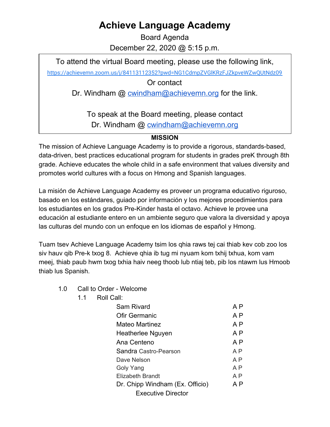## **Achieve Language Academy**

Board Agenda December 22, 2020 @ 5:15 p.m.

To attend the virtual Board meeting, please use the following link,

<https://achievemn.zoom.us/j/84113112352?pwd=NG1CdmpZVGlKRzFJZkpveWZwQUtNdz09>

Or contact

Dr. Windham @ [cwindham@achievemn.org](mailto:cwindham@achievemn.org) for the link.

To speak at the Board meeting, please contact Dr. Windham @ [cwindham@achievemn.org](mailto:cwindham@achievemn.org)

## **MISSION**

The mission of Achieve Language Academy is to provide a rigorous, standards-based, data-driven, best practices educational program for students in grades preK through 8th grade. Achieve educates the whole child in a safe environment that values diversity and promotes world cultures with a focus on Hmong and Spanish languages.

La misión de Achieve Language Academy es proveer un programa educativo riguroso, basado en los estándares, guiado por información y los mejores procedimientos para los estudiantes en los grados Pre-Kinder hasta el octavo. Achieve le provee una educación al estudiante entero en un ambiente seguro que valora la diversidad y apoya las culturas del mundo con un enfoque en los idiomas de español y Hmong.

Tuam tsev Achieve Language Academy tsim los qhia raws tej cai thiab kev cob zoo los siv hauv qib Pre-k txog 8. Achieve qhia ib tug mi nyuam kom txhij txhua, kom vam meej, thiab paub hwm txog txhia haiv neeg thoob lub ntiaj teb, pib los ntawm lus Hmoob thiab lus Spanish.

- 1.0 Call to Order Welcome
	- 1.1 Roll Call:

| Sam Rivard                      | A P            |
|---------------------------------|----------------|
| Ofir Germanic                   | A <sub>P</sub> |
| Mateo Martinez                  | A P            |
| Heatherlee Nguyen               | A P            |
| Ana Centeno                     | A P            |
| Sandra Castro-Pearson           | A P            |
| Dave Nelson                     | A P            |
| Goly Yang                       | A P            |
| <b>Elizabeth Brandt</b>         | A P            |
| Dr. Chipp Windham (Ex. Officio) | A P            |
| <b>Executive Director</b>       |                |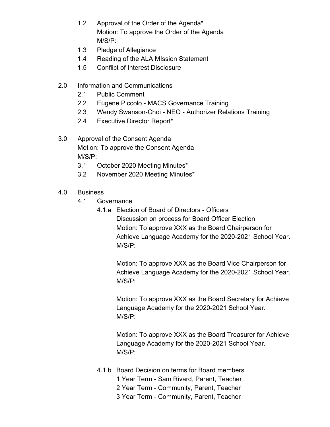- 1.2 Approval of the Order of the Agenda\* Motion: To approve the Order of the Agenda M/S/P:
- 1.3 Pledge of Allegiance
- 1.4 Reading of the ALA MIssion Statement
- 1.5 Conflict of Interest Disclosure
- 2.0 Information and Communications
	- 2.1 Public Comment
	- 2.2 Eugene Piccolo MACS Governance Training
	- 2.3 Wendy Swanson-Choi NEO Authorizer Relations Training
	- 2.4 Executive Director Report\*
- 3.0 Approval of the Consent Agenda Motion: To approve the Consent Agenda M/S/P:
	- 3.1 October 2020 Meeting Minutes\*
	- 3.2 November 2020 Meeting Minutes\*
- 4.0 Business
	- 4.1 Governance
		- 4.1.a Election of Board of Directors Officers Discussion on process for Board Officer Election Motion: To approve XXX as the Board Chairperson for Achieve Language Academy for the 2020-2021 School Year. M/S/P:

Motion: To approve XXX as the Board Vice Chairperson for Achieve Language Academy for the 2020-2021 School Year. M/S/P:

Motion: To approve XXX as the Board Secretary for Achieve Language Academy for the 2020-2021 School Year. M/S/P:

Motion: To approve XXX as the Board Treasurer for Achieve Language Academy for the 2020-2021 School Year. M/S/P:

- 4.1.b Board Decision on terms for Board members
	- 1 Year Term Sam Rivard, Parent, Teacher
	- 2 Year Term Community, Parent, Teacher
	- 3 Year Term Community, Parent, Teacher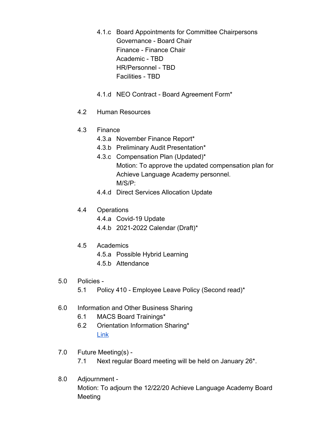- 4.1.c Board Appointments for Committee Chairpersons Governance - Board Chair Finance - Finance Chair Academic - TBD HR/Personnel - TBD Facilities - TBD
- 4.1.d NEO Contract Board Agreement Form\*
- 4.2 Human Resources
- 4.3 Finance
	- 4.3.a November Finance Report\*
	- 4.3.b Preliminary Audit Presentation\*
	- 4.3.c Compensation Plan (Updated)\* Motion: To approve the updated compensation plan for Achieve Language Academy personnel. M/S/P:
	- 4.4.d Direct Services Allocation Update
- 4.4 Operations
	- 4.4.a Covid-19 Update
	- 4.4.b 2021-2022 Calendar (Draft)\*
- 4.5 Academics
	- 4.5.a Possible Hybrid Learning
	- 4.5.b Attendance
- 5.0 Policies
	- 5.1 Policy 410 Employee Leave Policy (Second read)\*
- 6.0 Information and Other Business Sharing
	- 6.1 MACS Board Trainings\*
	- 6.2 Orientation Information Sharing\* [Link](https://drive.google.com/drive/folders/1xMPGDt51jjd3t1NHDR-JuFemEEGhu-Cl?usp=sharing)
- 7.0 Future Meeting(s)
	- 7.1 Next regular Board meeting will be held on January 26\*.
- 8.0 Adjournment Motion: To adjourn the 12/22/20 Achieve Language Academy Board Meeting